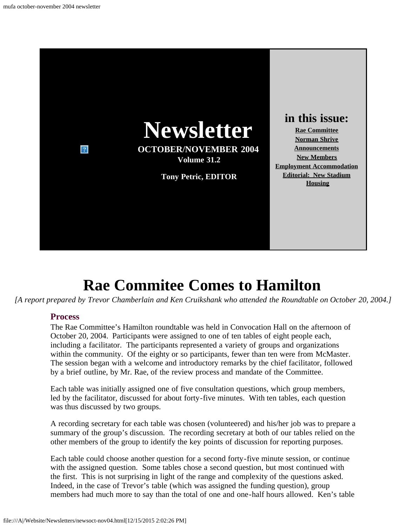

## **Rae Commitee Comes to Hamilton**

<span id="page-0-0"></span>*[A report prepared by Trevor Chamberlain and Ken Cruikshank who attended the Roundtable on October 20, 2004.]*

#### **Process**

The Rae Committee's Hamilton roundtable was held in Convocation Hall on the afternoon of October 20, 2004. Participants were assigned to one of ten tables of eight people each, including a facilitator. The participants represented a variety of groups and organizations within the community. Of the eighty or so participants, fewer than ten were from McMaster. The session began with a welcome and introductory remarks by the chief facilitator, followed by a brief outline, by Mr. Rae, of the review process and mandate of the Committee.

Each table was initially assigned one of five consultation questions, which group members, led by the facilitator, discussed for about forty-five minutes. With ten tables, each question was thus discussed by two groups.

A recording secretary for each table was chosen (volunteered) and his/her job was to prepare a summary of the group's discussion. The recording secretary at both of our tables relied on the other members of the group to identify the key points of discussion for reporting purposes.

Each table could choose another question for a second forty-five minute session, or continue with the assigned question. Some tables chose a second question, but most continued with the first. This is not surprising in light of the range and complexity of the questions asked. Indeed, in the case of Trevor's table (which was assigned the funding question), group members had much more to say than the total of one and one-half hours allowed. Ken's table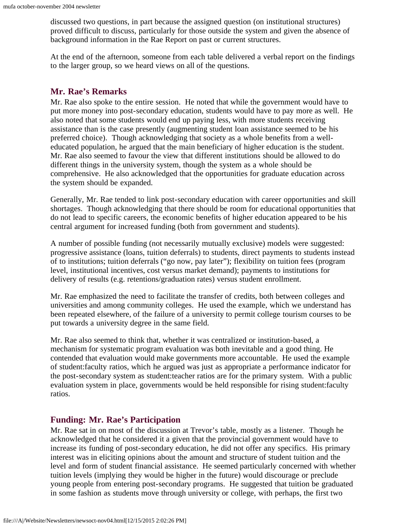discussed two questions, in part because the assigned question (on institutional structures) proved difficult to discuss, particularly for those outside the system and given the absence of background information in the Rae Report on past or current structures.

At the end of the afternoon, someone from each table delivered a verbal report on the findings to the larger group, so we heard views on all of the questions.

#### **Mr. Rae's Remarks**

Mr. Rae also spoke to the entire session. He noted that while the government would have to put more money into post-secondary education, students would have to pay more as well. He also noted that some students would end up paying less, with more students receiving assistance than is the case presently (augmenting student loan assistance seemed to be his preferred choice). Though acknowledging that society as a whole benefits from a welleducated population, he argued that the main beneficiary of higher education is the student. Mr. Rae also seemed to favour the view that different institutions should be allowed to do different things in the university system, though the system as a whole should be comprehensive. He also acknowledged that the opportunities for graduate education across the system should be expanded.

Generally, Mr. Rae tended to link post-secondary education with career opportunities and skill shortages. Though acknowledging that there should be room for educational opportunities that do not lead to specific careers, the economic benefits of higher education appeared to be his central argument for increased funding (both from government and students).

A number of possible funding (not necessarily mutually exclusive) models were suggested: progressive assistance (loans, tuition deferrals) to students, direct payments to students instead of to institutions; tuition deferrals ("go now, pay later"); flexibility on tuition fees (program level, institutional incentives, cost versus market demand); payments to institutions for delivery of results (e.g. retentions/graduation rates) versus student enrollment.

Mr. Rae emphasized the need to facilitate the transfer of credits, both between colleges and universities and among community colleges. He used the example, which we understand has been repeated elsewhere, of the failure of a university to permit college tourism courses to be put towards a university degree in the same field.

Mr. Rae also seemed to think that, whether it was centralized or institution-based, a mechanism for systematic program evaluation was both inevitable and a good thing. He contended that evaluation would make governments more accountable. He used the example of student:faculty ratios, which he argued was just as appropriate a performance indicator for the post-secondary system as student:teacher ratios are for the primary system. With a public evaluation system in place, governments would be held responsible for rising student:faculty ratios.

#### **Funding: Mr. Rae's Participation**

Mr. Rae sat in on most of the discussion at Trevor's table, mostly as a listener. Though he acknowledged that he considered it a given that the provincial government would have to increase its funding of post-secondary education, he did not offer any specifics. His primary interest was in eliciting opinions about the amount and structure of student tuition and the level and form of student financial assistance. He seemed particularly concerned with whether tuition levels (implying they would be higher in the future) would discourage or preclude young people from entering post-secondary programs. He suggested that tuition be graduated in some fashion as students move through university or college, with perhaps, the first two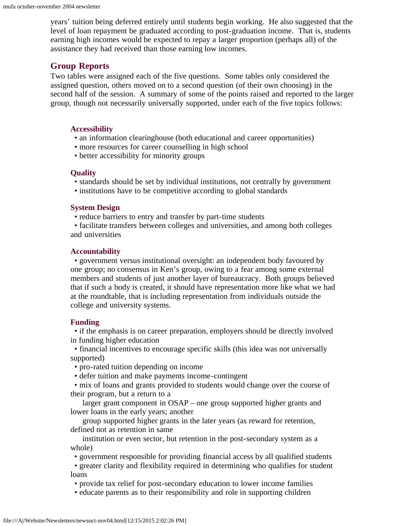years' tuition being deferred entirely until students begin working. He also suggested that the level of loan repayment be graduated according to post-graduation income. That is, students earning high incomes would be expected to repay a larger proportion (perhaps all) of the assistance they had received than those earning low incomes.

#### **Group Reports**

Two tables were assigned each of the five questions. Some tables only considered the assigned question, others moved on to a second question (of their own choosing) in the second half of the session. A summary of some of the points raised and reported to the larger group, though not necessarily universally supported, under each of the five topics follows:

#### **Accessibility**

- an information clearinghouse (both educational and career opportunities)
- more resources for career counselling in high school
- better accessibility for minority groups

#### **Quality**

- standards should be set by individual institutions, not centrally by government
- institutions have to be competitive according to global standards

#### **System Design**

• reduce barriers to entry and transfer by part-time students

 • facilitate transfers between colleges and universities, and among both colleges and universities

#### **Accountability**

 • government versus institutional oversight: an independent body favoured by one group; no consensus in Ken's group, owing to a fear among some external members and students of just another layer of bureaucracy. Both groups believed that if such a body is created, it should have representation more like what we had at the roundtable, that is including representation from individuals outside the college and university systems.

#### **Funding**

 • if the emphasis is on career preparation, employers should be directly involved in funding higher education

 • financial incentives to encourage specific skills (this idea was not universally supported)

- pro-rated tuition depending on income
- defer tuition and make payments income-contingent

 • mix of loans and grants provided to students would change over the course of their program, but a return to a

 larger grant component in OSAP – one group supported higher grants and lower loans in the early years; another

 group supported higher grants in the later years (as reward for retention, defined not as retention in same

 institution or even sector, but retention in the post-secondary system as a whole)

• government responsible for providing financial access by all qualified students

 • greater clarity and flexibility required in determining who qualifies for student loans

• provide tax relief for post-secondary education to lower income families

• educate parents as to their responsibility and role in supporting children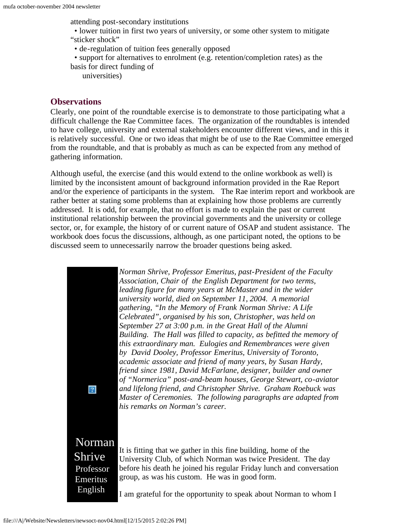attending post-secondary institutions

 • lower tuition in first two years of university, or some other system to mitigate "sticker shock"

- de-regulation of tuition fees generally opposed
- support for alternatives to enrolment (e.g. retention/completion rates) as the basis for direct funding of
	- universities)

#### **Observations**

Clearly, one point of the roundtable exercise is to demonstrate to those participating what a difficult challenge the Rae Committee faces. The organization of the roundtables is intended to have college, university and external stakeholders encounter different views, and in this it is relatively successful. One or two ideas that might be of use to the Rae Committee emerged from the roundtable, and that is probably as much as can be expected from any method of gathering information.

<span id="page-3-0"></span>Although useful, the exercise (and this would extend to the online workbook as well) is limited by the inconsistent amount of background information provided in the Rae Report and/or the experience of participants in the system. The Rae interim report and workbook are rather better at stating some problems than at explaining how those problems are currently addressed. It is odd, for example, that no effort is made to explain the past or current institutional relationship between the provincial governments and the university or college sector, or, for example, the history of or current nature of OSAP and student assistance. The workbook does focus the discussions, although, as one participant noted, the options to be discussed seem to unnecessarily narrow the broader questions being asked.

> *Norman Shrive, Professor Emeritus, past-President of the Faculty Association, Chair of the English Department for two terms, leading figure for many years at McMaster and in the wider university world, died on September 11, 2004. A memorial gathering, "In the Memory of Frank Norman Shrive: A Life Celebrated", organised by his son, Christopher, was held on September 27 at 3:00 p.m. in the Great Hall of the Alumni Building. The Hall was filled to capacity, as befitted the memory of this extraordinary man. Eulogies and Remembrances were given by David Dooley, Professor Emeritus, University of Toronto, academic associate and friend of many years, by Susan Hardy, friend since 1981, David McFarlane, designer, builder and owner of "Normerica" post-and-beam houses, George Stewart, co-aviator and lifelong friend, and Christopher Shrive. Graham Roebuck was Master of Ceremonies. The following paragraphs are adapted from his remarks on Norman's career.*

 Norman Shrive Professor

 $\left|2\right\rangle$ 

Emeritus English

It is fitting that we gather in this fine building, home of the University Club, of which Norman was twice President. The day before his death he joined his regular Friday lunch and conversation group, as was his custom. He was in good form.

I am grateful for the opportunity to speak about Norman to whom I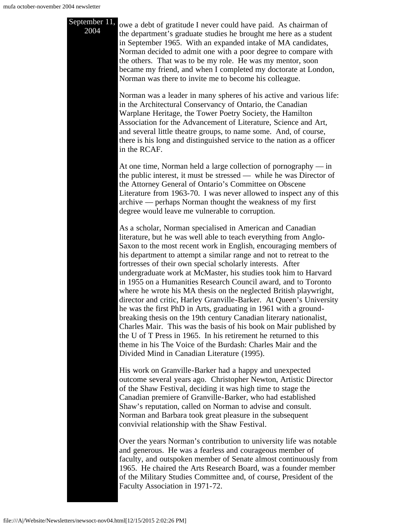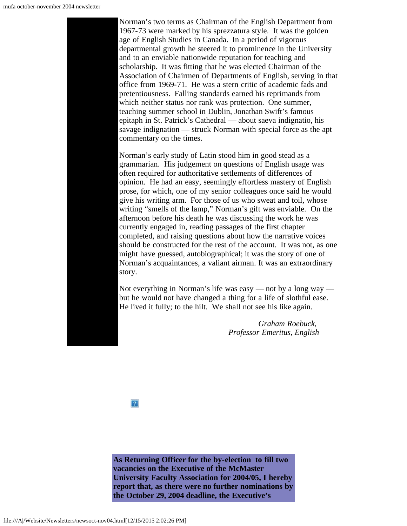Norman's two terms as Chairman of the English Department from 1967-73 were marked by his sprezzatura style. It was the golden age of English Studies in Canada. In a period of vigorous departmental growth he steered it to prominence in the University and to an enviable nationwide reputation for teaching and scholarship. It was fitting that he was elected Chairman of the Association of Chairmen of Departments of English, serving in that office from 1969-71. He was a stern critic of academic fads and pretentiousness. Falling standards earned his reprimands from which neither status nor rank was protection. One summer, teaching summer school in Dublin, Jonathan Swift's famous epitaph in St. Patrick's Cathedral — about saeva indignatio, his savage indignation — struck Norman with special force as the apt commentary on the times.

Norman's early study of Latin stood him in good stead as a grammarian. His judgement on questions of English usage was often required for authoritative settlements of differences of opinion. He had an easy, seemingly effortless mastery of English prose, for which, one of my senior colleagues once said he would give his writing arm. For those of us who sweat and toil, whose writing "smells of the lamp," Norman's gift was enviable. On the afternoon before his death he was discussing the work he was currently engaged in, reading passages of the first chapter completed, and raising questions about how the narrative voices should be constructed for the rest of the account. It was not, as one might have guessed, autobiographical; it was the story of one of Norman's acquaintances, a valiant airman. It was an extraordinary story.

Not everything in Norman's life was easy — not by a long way but he would not have changed a thing for a life of slothful ease. He lived it fully; to the hilt. We shall not see his like again.

> *Graham Roebuck, Professor Emeritus, English*

 $|2\rangle$ 

<span id="page-5-0"></span>**As Returning Officer for the by-election to fill two vacancies on the Executive of the McMaster University Faculty Association for 2004/05, I hereby report that, as there were no further nominations by the October 29, 2004 deadline, the Executive's**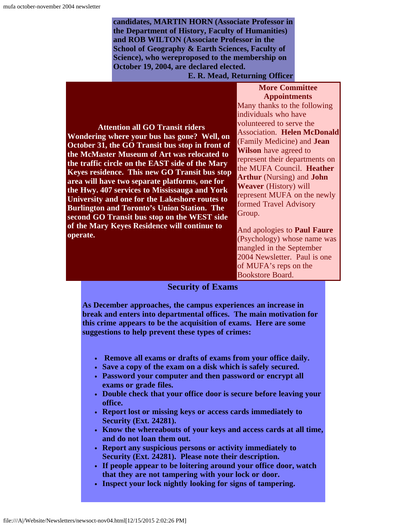**candidates, MARTIN HORN (Associate Professor in the Department of History, Faculty of Humanities) and ROB WILTON (Associate Professor in the School of Geography & Earth Sciences, Faculty of Science), who wereproposed to the membership on October 19, 2004, are declared elected.**

**E. R. Mead, Returning Officer**

#### **More Committee Appointments**

**Attention all GO Transit riders Wondering where your bus has gone? Well, on October 31, the GO Transit bus stop in front of the McMaster Museum of Art was relocated to the traffic circle on the EAST side of the Mary Keyes residence. This new GO Transit bus stop area will have two separate platforms, one for the Hwy. 407 services to Mississauga and York University and one for the Lakeshore routes to Burlington and Toronto's Union Station. The second GO Transit bus stop on the WEST side of the Mary Keyes Residence will continue to operate.**

Many thanks to the following individuals who have volunteered to serve the Association. **Helen McDonald** (Family Medicine) and **Jean Wilson** have agreed to represent their departments on the MUFA Council. **Heather Arthur** (Nursing) and **John Weaver** (History) will represent MUFA on the newly formed Travel Advisory Group.

And apologies to **Paul Faure** (Psychology) whose name was mangled in the September 2004 Newsletter. Paul is one of MUFA's reps on the Bookstore Board.

#### **Security of Exams**

**As December approaches, the campus experiences an increase in break and enters into departmental offices. The main motivation for this crime appears to be the acquisition of exams. Here are some suggestions to help prevent these types of crimes:**

- **Remove all exams or drafts of exams from your office daily.**
- **Save a copy of the exam on a disk which is safely secured.**
- **Password your computer and then password or encrypt all exams or grade files.**
- **Double check that your office door is secure before leaving your office.**
- **Report lost or missing keys or access cards immediately to Security (Ext. 24281).**
- **Know the whereabouts of your keys and access cards at all time, and do not loan them out.**
- **Report any suspicious persons or activity immediately to Security (Ext. 24281). Please note their description.**
- **If people appear to be loitering around your office door, watch that they are not tampering with your lock or door.**
- **Inspect your lock nightly looking for signs of tampering.**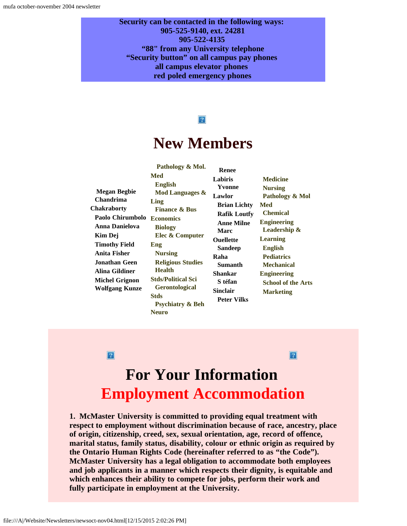**Security can be contacted in the following ways: 905-525-9140, ext. 24281 905-522-4135 "88" from any University telephone "Security button" on all campus pay phones all campus elevator phones red poled emergency phones**

#### $|2|$

## **New Members**

**Renee**

**Raha**

<span id="page-7-0"></span>**Megan Begbie Chandrima Chakraborty Paolo Chirumbolo Economics Anna Danielova Kim Dej Timothy Field Anita Fisher Jonathan Geen Alina Gildiner Michel Grignon Wolfgang Kunze**

 **Pathology & Mol. Med English Mod Languages & Ling Finance & Bus Biology Elec & Computer Eng Nursing Religious Studies Health Stds/Political Sci Gerontological Stds Psychiatry & Beh Neuro**

**Labiris Yvonne Lawlor Brian Lichty Rafik Loutfy Anne Milne Marc Ouellette Sandeep Sumanth Shankar S téfan Sinclair Peter Vilks Medicine Nursing Pathology & Mol Med Chemical Engineering Leadership & Learning English Pediatrics Mechanical Engineering School of the Arts Marketing**

 $\sqrt{2}$ 

#### $\vert 2 \vert$

# **For Your Information Employment Accommodation**

<span id="page-7-1"></span>**1. McMaster University is committed to providing equal treatment with respect to employment without discrimination because of race, ancestry, place of origin, citizenship, creed, sex, sexual orientation, age, record of offence, marital status, family status, disability, colour or ethnic origin as required by the Ontario Human Rights Code (hereinafter referred to as "the Code"). McMaster University has a legal obligation to accommodate both employees and job applicants in a manner which respects their dignity, is equitable and which enhances their ability to compete for jobs, perform their work and fully participate in employment at the University.**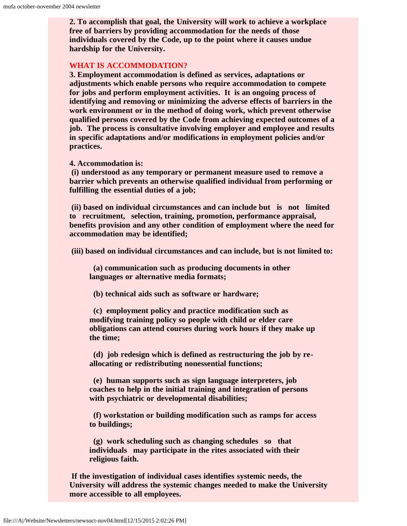**2. To accomplish that goal, the University will work to achieve a workplace free of barriers by providing accommodation for the needs of those individuals covered by the Code, up to the point where it causes undue hardship for the University.**

#### **WHAT IS ACCOMMODATION?**

**3. Employment accommodation is defined as services, adaptations or adjustments which enable persons who require accommodation to compete for jobs and perform employment activities. It is an ongoing process of identifying and removing or minimizing the adverse effects of barriers in the work environment or in the method of doing work, which prevent otherwise qualified persons covered by the Code from achieving expected outcomes of a job. The process is consultative involving employer and employee and results in specific adaptations and/or modifications in employment policies and/or practices.**

**4. Accommodation is:**

**(i) understood as any temporary or permanent measure used to remove a barrier which prevents an otherwise qualified individual from performing or fulfilling the essential duties of a job;**

**(ii) based on individual circumstances and can include but is not limited to recruitment, selection, training, promotion, performance appraisal, benefits provision and any other condition of employment where the need for accommodation may be identified;**

**(iii) based on individual circumstances and can include, but is not limited to:**

 **(a) communication such as producing documents in other languages or alternative media formats;**

 **(b) technical aids such as software or hardware;**

 **(c) employment policy and practice modification such as modifying training policy so people with child or elder care obligations can attend courses during work hours if they make up the time;**

 **(d) job redesign which is defined as restructuring the job by reallocating or redistributing nonessential functions;**

 **(e) human supports such as sign language interpreters, job coaches to help in the initial training and integration of persons with psychiatric or developmental disabilities;**

 **(f) workstation or building modification such as ramps for access to buildings;**

 **(g) work scheduling such as changing schedules so that individuals may participate in the rites associated with their religious faith.**

**If the investigation of individual cases identifies systemic needs, the University will address the systemic changes needed to make the University more accessible to all employees.**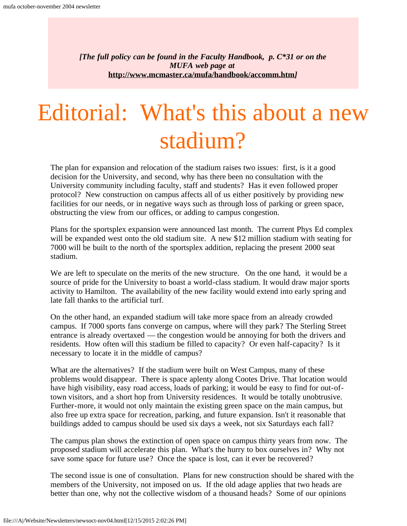*[The full policy can be found in the Faculty Handbook, p. C\*31 or on the MUFA web page at* **<http://www.mcmaster.ca/mufa/handbook/accomm.htm>***]*

# <span id="page-9-0"></span>Editorial: What's this about a new stadium?

The plan for expansion and relocation of the stadium raises two issues: first, is it a good decision for the University, and second, why has there been no consultation with the University community including faculty, staff and students? Has it even followed proper protocol? New construction on campus affects all of us either positively by providing new facilities for our needs, or in negative ways such as through loss of parking or green space, obstructing the view from our offices, or adding to campus congestion.

Plans for the sportsplex expansion were announced last month. The current Phys Ed complex will be expanded west onto the old stadium site. A new \$12 million stadium with seating for 7000 will be built to the north of the sportsplex addition, replacing the present 2000 seat stadium.

We are left to speculate on the merits of the new structure. On the one hand, it would be a source of pride for the University to boast a world-class stadium. It would draw major sports activity to Hamilton. The availability of the new facility would extend into early spring and late fall thanks to the artificial turf.

On the other hand, an expanded stadium will take more space from an already crowded campus. If 7000 sports fans converge on campus, where will they park? The Sterling Street entrance is already overtaxed — the congestion would be annoying for both the drivers and residents. How often will this stadium be filled to capacity? Or even half-capacity? Is it necessary to locate it in the middle of campus?

What are the alternatives? If the stadium were built on West Campus, many of these problems would disappear. There is space aplenty along Cootes Drive. That location would have high visibility, easy road access, loads of parking; it would be easy to find for out-oftown visitors, and a short hop from University residences. It would be totally unobtrusive. Further-more, it would not only maintain the existing green space on the main campus, but also free up extra space for recreation, parking, and future expansion. Isn't it reasonable that buildings added to campus should be used six days a week, not six Saturdays each fall?

The campus plan shows the extinction of open space on campus thirty years from now. The proposed stadium will accelerate this plan. What's the hurry to box ourselves in? Why not save some space for future use? Once the space is lost, can it ever be recovered?

The second issue is one of consultation. Plans for new construction should be shared with the members of the University, not imposed on us. If the old adage applies that two heads are better than one, why not the collective wisdom of a thousand heads? Some of our opinions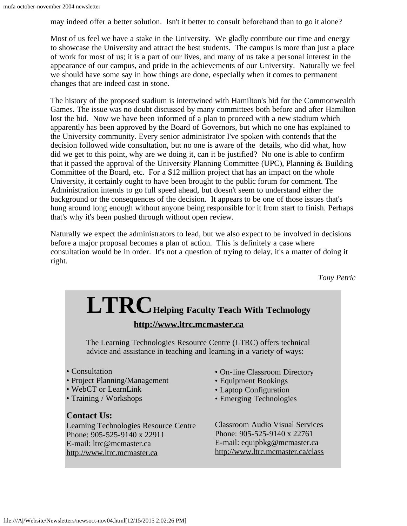may indeed offer a better solution. Isn't it better to consult beforehand than to go it alone?

Most of us feel we have a stake in the University. We gladly contribute our time and energy to showcase the University and attract the best students. The campus is more than just a place of work for most of us; it is a part of our lives, and many of us take a personal interest in the appearance of our campus, and pride in the achievements of our University. Naturally we feel we should have some say in how things are done, especially when it comes to permanent changes that are indeed cast in stone.

The history of the proposed stadium is intertwined with Hamilton's bid for the Commonwealth Games. The issue was no doubt discussed by many committees both before and after Hamilton lost the bid. Now we have been informed of a plan to proceed with a new stadium which apparently has been approved by the Board of Governors, but which no one has explained to the University community. Every senior administrator I've spoken with contends that the decision followed wide consultation, but no one is aware of the details, who did what, how did we get to this point, why are we doing it, can it be justified? No one is able to confirm that it passed the approval of the University Planning Committee (UPC), Planning & Building Committee of the Board, etc. For a \$12 million project that has an impact on the whole University, it certainly ought to have been brought to the public forum for comment. The Administration intends to go full speed ahead, but doesn't seem to understand either the background or the consequences of the decision. It appears to be one of those issues that's hung around long enough without anyone being responsible for it from start to finish. Perhaps that's why it's been pushed through without open review.

Naturally we expect the administrators to lead, but we also expect to be involved in decisions before a major proposal becomes a plan of action. This is definitely a case where consultation would be in order. It's not a question of trying to delay, it's a matter of doing it right.

*Tony Petric*

#### **LTRCHelping Faculty Teach With Technology [http://www.ltrc.mcmaster.ca](http://www.ltrc.mcmaster.ca/)** The Learning Technologies Resource Centre (LTRC) offers technical advice and assistance in teaching and learning in a variety of ways: • Consultation • Project Planning/Management • WebCT or LearnLink • Training / Workshops **Contact Us:** Learning Technologies Resource Centre • On-line Classroom Directory • Equipment Bookings • Laptop Configuration • Emerging Technologies Classroom Audio Visual Services

Phone: 905-525-9140 x 22911 E-mail: ltrc@mcmaster.ca [http://www.ltrc.mcmaster.ca](http://www.ltrc.mcmaster.ca/)

Phone: 905-525-9140 x 22761 E-mail: equipbkg@mcmaster.ca <http://www.ltrc.mcmaster.ca/class>